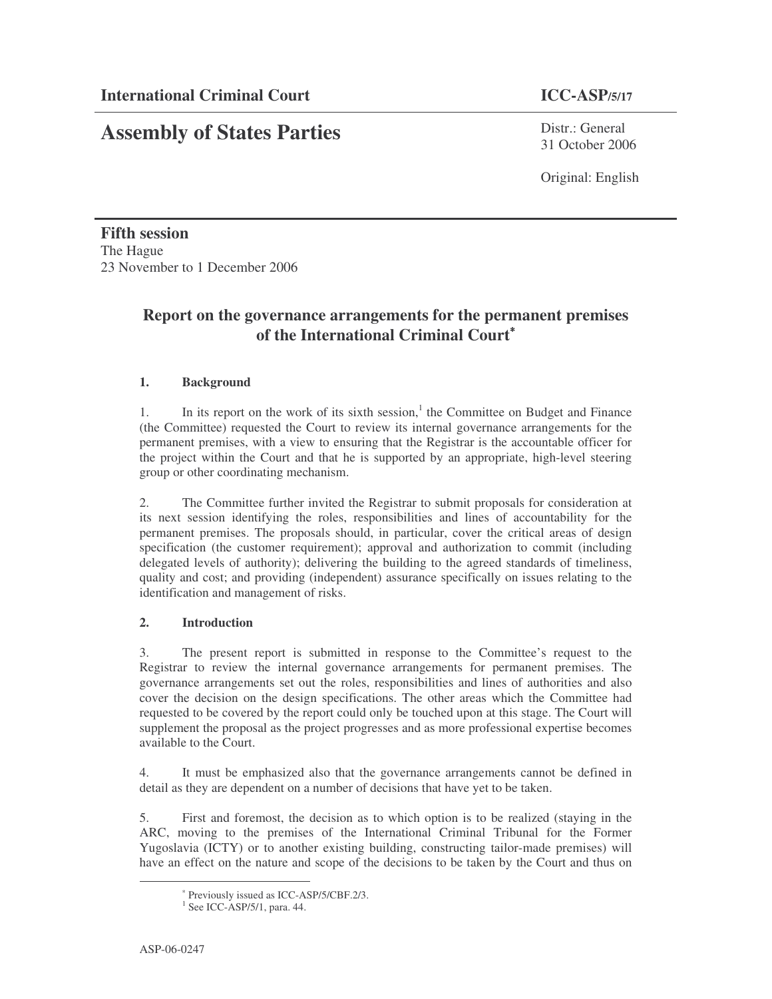# **Assembly of States Parties**

Distr · General 31 October 2006

Original: English

**Fifth session** The Hague 23 November to 1 December 2006

# **Report on the governance arrangements for the permanent premises of the International Criminal Court** ∗

# **1. Background**

1. In its report on the work of its sixth session,<sup>1</sup> the Committee on Budget and Finance (the Committee) requested the Court to review its internal governance arrangements for the permanent premises, with a view to ensuring that the Registrar is the accountable officer for the project within the Court and that he is supported by an appropriate, high-level steering group or other coordinating mechanism.

2. The Committee further invited the Registrar to submit proposals for consideration at its next session identifying the roles, responsibilities and lines of accountability for the permanent premises. The proposals should, in particular, cover the critical areas of design specification (the customer requirement); approval and authorization to commit (including delegated levels of authority); delivering the building to the agreed standards of timeliness, quality and cost; and providing (independent) assurance specifically on issues relating to the identification and management of risks.

# **2. Introduction**

3. The present report is submitted in response to the Committee's request to the Registrar to review the internal governance arrangements for permanent premises. The governance arrangements set out the roles, responsibilities and lines of authorities and also cover the decision on the design specifications. The other areas which the Committee had requested to be covered by the report could only be touched upon at this stage. The Court will supplement the proposal as the project progresses and as more professional expertise becomes available to the Court.

4. It must be emphasized also that the governance arrangements cannot be defined in detail as they are dependent on a number of decisions that have yet to be taken.

5. First and foremost, the decision as to which option is to be realized (staying in the ARC, moving to the premises of the International Criminal Tribunal for the Former Yugoslavia (ICTY) or to another existing building, constructing tailor-made premises) will have an effect on the nature and scope of the decisions to be taken by the Court and thus on

<sup>∗</sup> Previously issued as ICC-ASP/5/CBF.2/3.

<sup>&</sup>lt;sup>1</sup> See ICC-ASP/5/1, para. 44.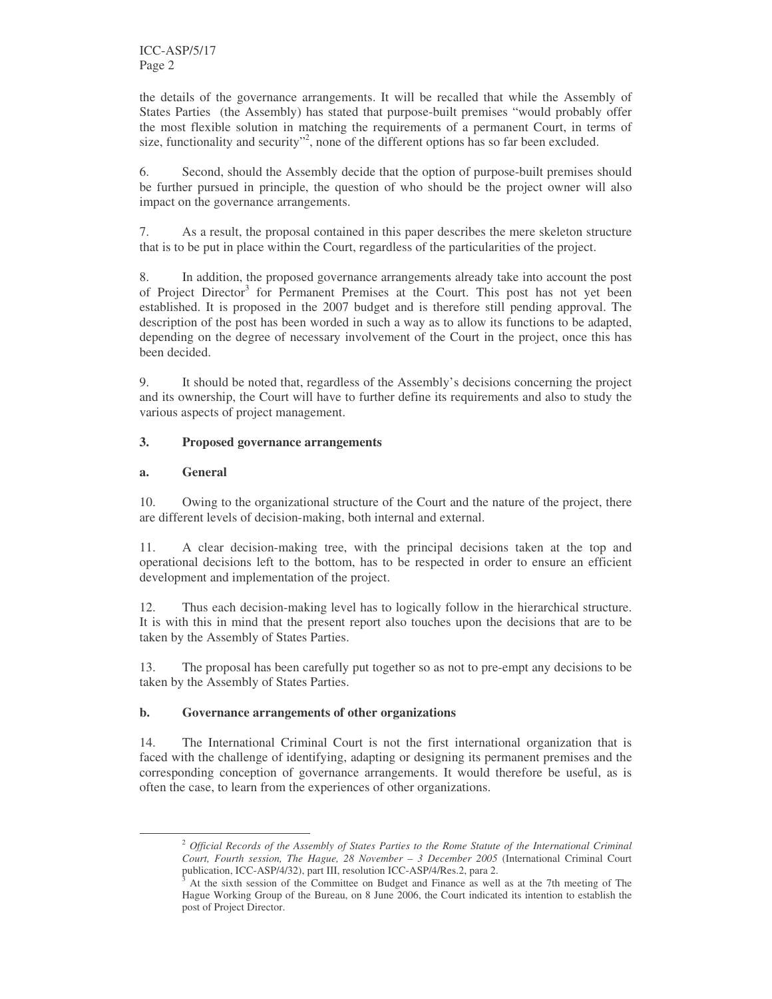the details of the governance arrangements. It will be recalled that while the Assembly of States Parties (the Assembly) has stated that purpose-built premises "would probably offer the most flexible solution in matching the requirements of a permanent Court, in terms of size, functionality and security"<sup>2</sup>, none of the different options has so far been excluded.

6. Second, should the Assembly decide that the option of purpose-built premises should be further pursued in principle, the question of who should be the project owner will also impact on the governance arrangements.

7. As a result, the proposal contained in this paper describes the mere skeleton structure that is to be put in place within the Court, regardless of the particularities of the project.

8. In addition, the proposed governance arrangements already take into account the post of Project Director<sup>3</sup> for Permanent Premises at the Court. This post has not yet been established. It is proposed in the 2007 budget and is therefore still pending approval. The description of the post has been worded in such a way as to allow its functions to be adapted, depending on the degree of necessary involvement of the Court in the project, once this has been decided.

9. It should be noted that, regardless of the Assembly's decisions concerning the project and its ownership, the Court will have to further define its requirements and also to study the various aspects of project management.

## **3. Proposed governance arrangements**

## **a. General**

10. Owing to the organizational structure of the Court and the nature of the project, there are different levels of decision-making, both internal and external.

11. A clear decision-making tree, with the principal decisions taken at the top and operational decisions left to the bottom, has to be respected in order to ensure an efficient development and implementation of the project.

12. Thus each decision-making level has to logically follow in the hierarchical structure. It is with this in mind that the present report also touches upon the decisions that are to be taken by the Assembly of States Parties.

13. The proposal has been carefully put together so as not to pre-empt any decisions to be taken by the Assembly of States Parties.

#### **b. Governance arrangements of other organizations**

14. The International Criminal Court is not the first international organization that is faced with the challenge of identifying, adapting or designing its permanent premises and the corresponding conception of governance arrangements. It would therefore be useful, as is often the case, to learn from the experiences of other organizations.

<sup>2</sup> *Official Records of the Assembly of States Parties to the Rome Statute of the International Criminal Court, Fourth session, The Hague, 28 November – 3 December 2005* (International Criminal Court publication, ICC-ASP/4/32), part III, resolution ICC-ASP/4/Res.2, para 2.

<sup>3</sup> At the sixth session of the Committee on Budget and Finance as well as at the 7th meeting of The Hague Working Group of the Bureau, on 8 June 2006, the Court indicated its intention to establish the post of Project Director.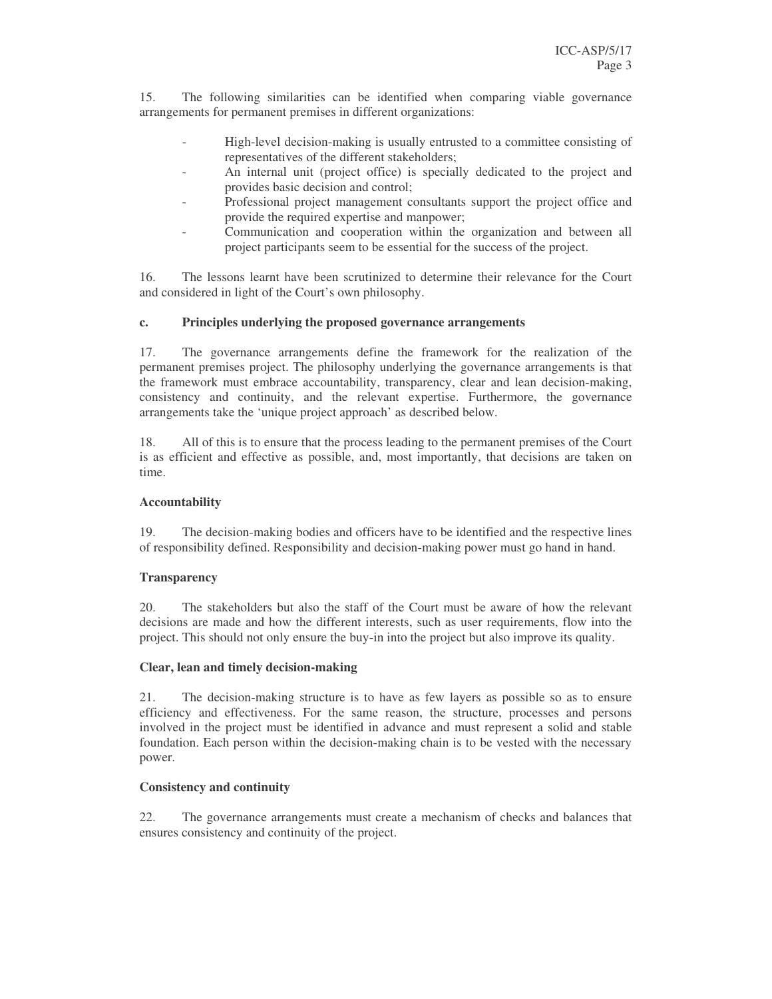15. The following similarities can be identified when comparing viable governance arrangements for permanent premises in different organizations:

- High-level decision-making is usually entrusted to a committee consisting of representatives of the different stakeholders;
- An internal unit (project office) is specially dedicated to the project and provides basic decision and control;
- Professional project management consultants support the project office and provide the required expertise and manpower;
- Communication and cooperation within the organization and between all project participants seem to be essential for the success of the project.

16. The lessons learnt have been scrutinized to determine their relevance for the Court and considered in light of the Court's own philosophy.

## **c. Principles underlying the proposed governance arrangements**

17. The governance arrangements define the framework for the realization of the permanent premises project. The philosophy underlying the governance arrangements is that the framework must embrace accountability, transparency, clear and lean decision-making, consistency and continuity, and the relevant expertise. Furthermore, the governance arrangements take the 'unique project approach' as described below.

18. All of this is to ensure that the process leading to the permanent premises of the Court is as efficient and effective as possible, and, most importantly, that decisions are taken on time.

#### **Accountability**

19. The decision-making bodies and officers have to be identified and the respective lines of responsibility defined. Responsibility and decision-making power must go hand in hand.

#### **Transparency**

20. The stakeholders but also the staff of the Court must be aware of how the relevant decisions are made and how the different interests, such as user requirements, flow into the project. This should not only ensure the buy-in into the project but also improve its quality.

#### **Clear, lean and timely decision-making**

21. The decision-making structure is to have as few layers as possible so as to ensure efficiency and effectiveness. For the same reason, the structure, processes and persons involved in the project must be identified in advance and must represent a solid and stable foundation. Each person within the decision-making chain is to be vested with the necessary power.

#### **Consistency and continuity**

22. The governance arrangements must create a mechanism of checks and balances that ensures consistency and continuity of the project.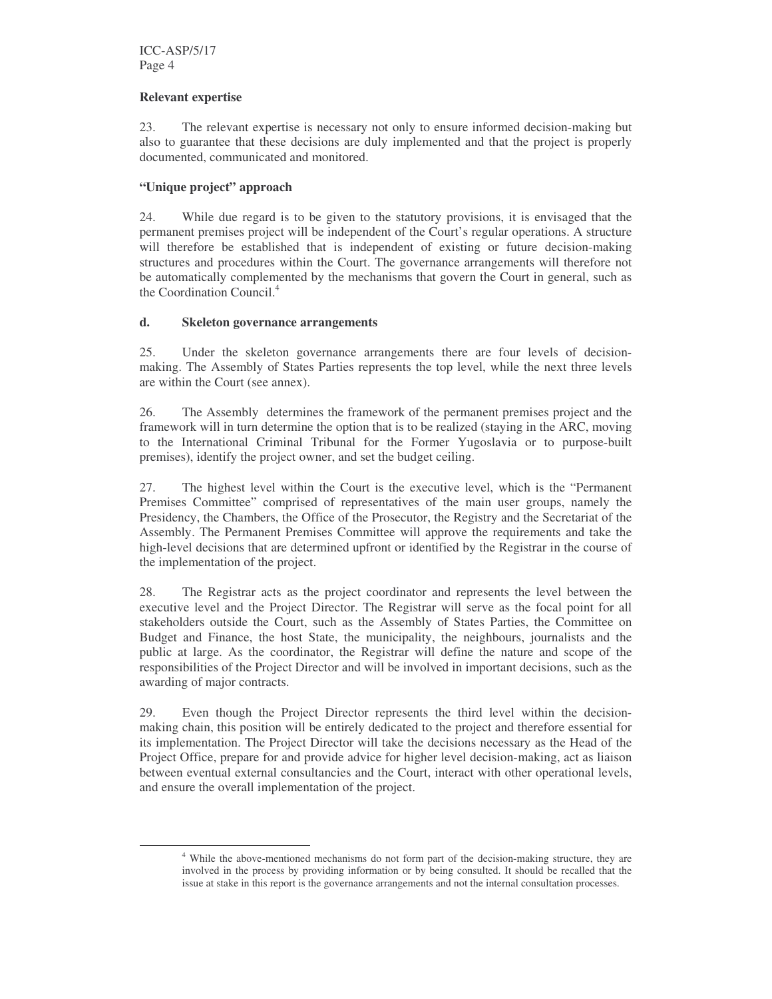#### **Relevant expertise**

23. The relevant expertise is necessary not only to ensure informed decision-making but also to guarantee that these decisions are duly implemented and that the project is properly documented, communicated and monitored.

#### **"Unique project" approach**

24. While due regard is to be given to the statutory provisions, it is envisaged that the permanent premises project will be independent of the Court's regular operations. A structure will therefore be established that is independent of existing or future decision-making structures and procedures within the Court. The governance arrangements will therefore not be automatically complemented by the mechanisms that govern the Court in general, such as the Coordination Council. 4

#### **d. Skeleton governance arrangements**

25. Under the skeleton governance arrangements there are four levels of decisionmaking. The Assembly of States Parties represents the top level, while the next three levels are within the Court (see annex).

26. The Assembly determines the framework of the permanent premises project and the framework will in turn determine the option that is to be realized (staying in the ARC, moving to the International Criminal Tribunal for the Former Yugoslavia or to purpose-built premises), identify the project owner, and set the budget ceiling.

27. The highest level within the Court is the executive level, which is the "Permanent Premises Committee" comprised of representatives of the main user groups, namely the Presidency, the Chambers, the Office of the Prosecutor, the Registry and the Secretariat of the Assembly. The Permanent Premises Committee will approve the requirements and take the high-level decisions that are determined upfront or identified by the Registrar in the course of the implementation of the project.

28. The Registrar acts as the project coordinator and represents the level between the executive level and the Project Director. The Registrar will serve as the focal point for all stakeholders outside the Court, such as the Assembly of States Parties, the Committee on Budget and Finance, the host State, the municipality, the neighbours, journalists and the public at large. As the coordinator, the Registrar will define the nature and scope of the responsibilities of the Project Director and will be involved in important decisions, such as the awarding of major contracts.

29. Even though the Project Director represents the third level within the decisionmaking chain, this position will be entirely dedicated to the project and therefore essential for its implementation. The Project Director will take the decisions necessary as the Head of the Project Office, prepare for and provide advice for higher level decision-making, act as liaison between eventual external consultancies and the Court, interact with other operational levels, and ensure the overall implementation of the project.

<sup>&</sup>lt;sup>4</sup> While the above-mentioned mechanisms do not form part of the decision-making structure, they are involved in the process by providing information or by being consulted. It should be recalled that the issue at stake in this report is the governance arrangements and not the internal consultation processes.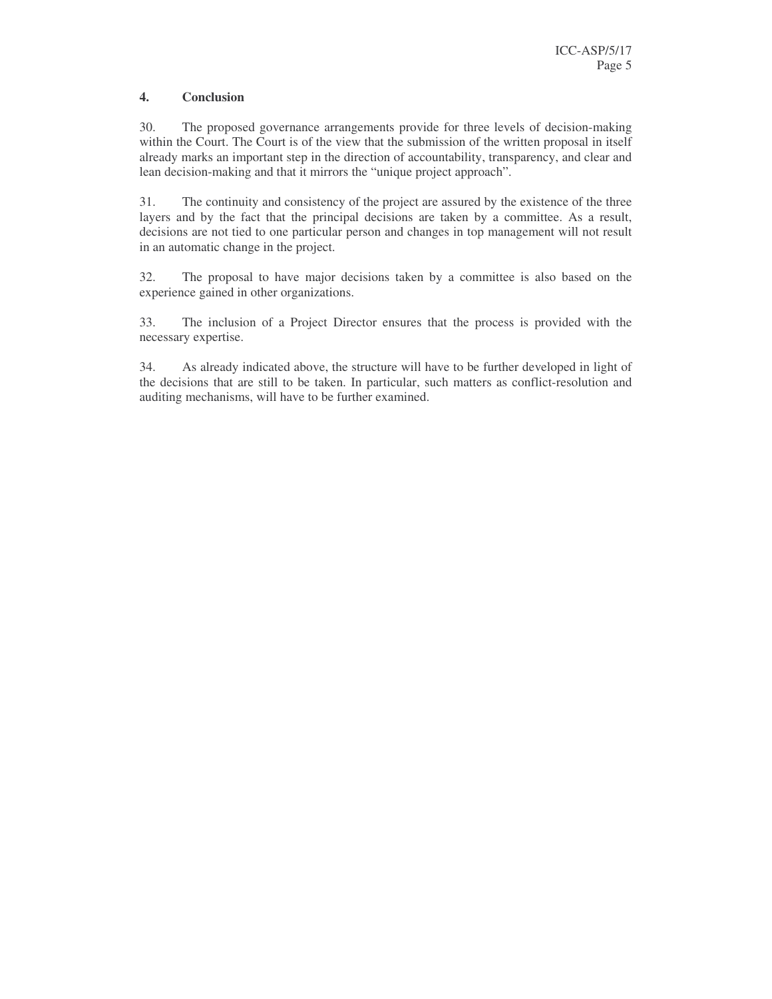## **4. Conclusion**

30. The proposed governance arrangements provide for three levels of decision-making within the Court. The Court is of the view that the submission of the written proposal in itself already marks an important step in the direction of accountability, transparency, and clear and lean decision-making and that it mirrors the "unique project approach".

31. The continuity and consistency of the project are assured by the existence of the three layers and by the fact that the principal decisions are taken by a committee. As a result, decisions are not tied to one particular person and changes in top management will not result in an automatic change in the project.

32. The proposal to have major decisions taken by a committee is also based on the experience gained in other organizations.

33. The inclusion of a Project Director ensures that the process is provided with the necessary expertise.

34. As already indicated above, the structure will have to be further developed in light of the decisions that are still to be taken. In particular, such matters as conflict-resolution and auditing mechanisms, will have to be further examined.